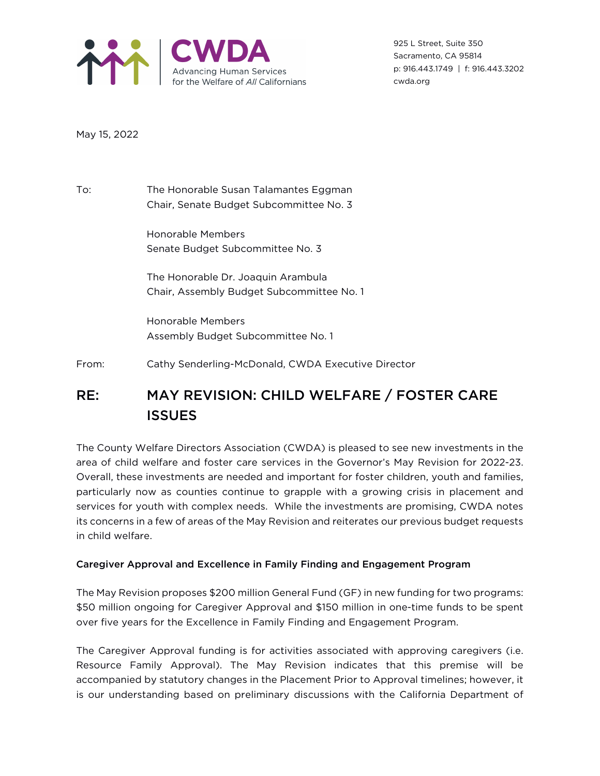

925 L Street, Suite 350 Sacramento, CA 95814 p: 916.443.1749 | f: 916.443.3202 cwda.org

May 15, 2022

To: The Honorable Susan Talamantes Eggman Chair, Senate Budget Subcommittee No. 3

> Honorable Members Senate Budget Subcommittee No. 3

The Honorable Dr. Joaquin Arambula Chair, Assembly Budget Subcommittee No. 1

Honorable Members Assembly Budget Subcommittee No. 1

From: Cathy Senderling-McDonald, CWDA Executive Director

# RE: MAY REVISION: CHILD WELFARE / FOSTER CARE **ISSUES**

The County Welfare Directors Association (CWDA) is pleased to see new investments in the area of child welfare and foster care services in the Governor's May Revision for 2022-23. Overall, these investments are needed and important for foster children, youth and families, particularly now as counties continue to grapple with a growing crisis in placement and services for youth with complex needs. While the investments are promising, CWDA notes its concerns in a few of areas of the May Revision and reiterates our previous budget requests in child welfare.

## Caregiver Approval and Excellence in Family Finding and Engagement Program

The May Revision proposes \$200 million General Fund (GF) in new funding for two programs: \$50 million ongoing for Caregiver Approval and \$150 million in one-time funds to be spent over five years for the Excellence in Family Finding and Engagement Program.

The Caregiver Approval funding is for activities associated with approving caregivers (i.e. Resource Family Approval). The May Revision indicates that this premise will be accompanied by statutory changes in the Placement Prior to Approval timelines; however, it is our understanding based on preliminary discussions with the California Department of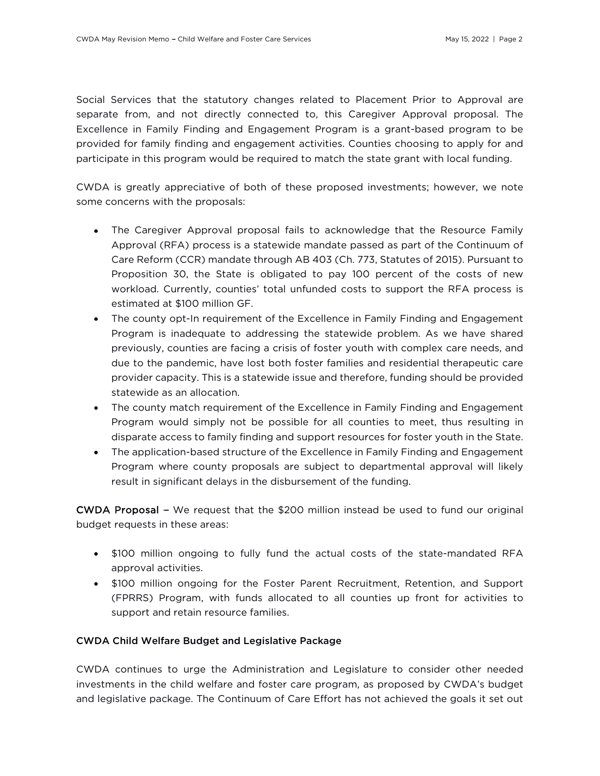Social Services that the statutory changes related to Placement Prior to Approval are separate from, and not directly connected to, this Caregiver Approval proposal. The Excellence in Family Finding and Engagement Program is a grant-based program to be provided for family finding and engagement activities. Counties choosing to apply for and participate in this program would be required to match the state grant with local funding.

CWDA is greatly appreciative of both of these proposed investments; however, we note some concerns with the proposals:

- The Caregiver Approval proposal fails to acknowledge that the Resource Family Approval (RFA) process is a statewide mandate passed as part of the Continuum of Care Reform (CCR) mandate through AB 403 (Ch. 773, Statutes of 2015). Pursuant to Proposition 30, the State is obligated to pay 100 percent of the costs of new workload. Currently, counties' total unfunded costs to support the RFA process is estimated at \$100 million GF.
- The county opt-In requirement of the Excellence in Family Finding and Engagement Program is inadequate to addressing the statewide problem. As we have shared previously, counties are facing a crisis of foster youth with complex care needs, and due to the pandemic, have lost both foster families and residential therapeutic care provider capacity. This is a statewide issue and therefore, funding should be provided statewide as an allocation.
- The county match requirement of the Excellence in Family Finding and Engagement Program would simply not be possible for all counties to meet, thus resulting in disparate access to family finding and support resources for foster youth in the State.
- The application-based structure of the Excellence in Family Finding and Engagement Program where county proposals are subject to departmental approval will likely result in significant delays in the disbursement of the funding.

CWDA Proposal - We request that the \$200 million instead be used to fund our original budget requests in these areas:

- \$100 million ongoing to fully fund the actual costs of the state-mandated RFA approval activities.
- \$100 million ongoing for the Foster Parent Recruitment, Retention, and Support (FPRRS) Program, with funds allocated to all counties up front for activities to support and retain resource families.

### CWDA Child Welfare Budget and Legislative Package

CWDA continues to urge the Administration and Legislature to consider other needed investments in the child welfare and foster care program, as proposed by CWDA's budget and legislative package. The Continuum of Care Effort has not achieved the goals it set out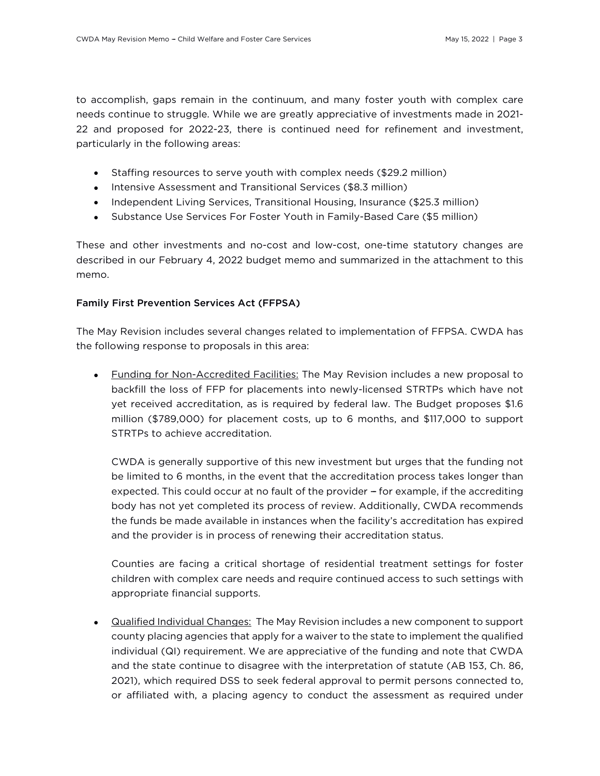to accomplish, gaps remain in the continuum, and many foster youth with complex care needs continue to struggle. While we are greatly appreciative of investments made in 2021- 22 and proposed for 2022-23, there is continued need for refinement and investment, particularly in the following areas:

- Staffing resources to serve youth with complex needs (\$29.2 million)
- Intensive Assessment and Transitional Services (\$8.3 million)
- Independent Living Services, Transitional Housing, Insurance (\$25.3 million)
- Substance Use Services For Foster Youth in Family-Based Care (\$5 million)

These and other investments and no-cost and low-cost, one-time statutory changes are described in our February 4, 2022 budget memo and summarized in the attachment to this memo.

### Family First Prevention Services Act (FFPSA)

The May Revision includes several changes related to implementation of FFPSA. CWDA has the following response to proposals in this area:

• Funding for Non-Accredited Facilities: The May Revision includes a new proposal to backfill the loss of FFP for placements into newly-licensed STRTPs which have not yet received accreditation, as is required by federal law. The Budget proposes \$1.6 million (\$789,000) for placement costs, up to 6 months, and \$117,000 to support STRTPs to achieve accreditation.

CWDA is generally supportive of this new investment but urges that the funding not be limited to 6 months, in the event that the accreditation process takes longer than expected. This could occur at no fault of the provider – for example, if the accrediting body has not yet completed its process of review. Additionally, CWDA recommends the funds be made available in instances when the facility's accreditation has expired and the provider is in process of renewing their accreditation status.

Counties are facing a critical shortage of residential treatment settings for foster children with complex care needs and require continued access to such settings with appropriate financial supports.

• Qualified Individual Changes: The May Revision includes a new component to support county placing agencies that apply for a waiver to the state to implement the qualified individual (QI) requirement. We are appreciative of the funding and note that CWDA and the state continue to disagree with the interpretation of statute (AB 153, Ch. 86, 2021), which required DSS to seek federal approval to permit persons connected to, or affiliated with, a placing agency to conduct the assessment as required under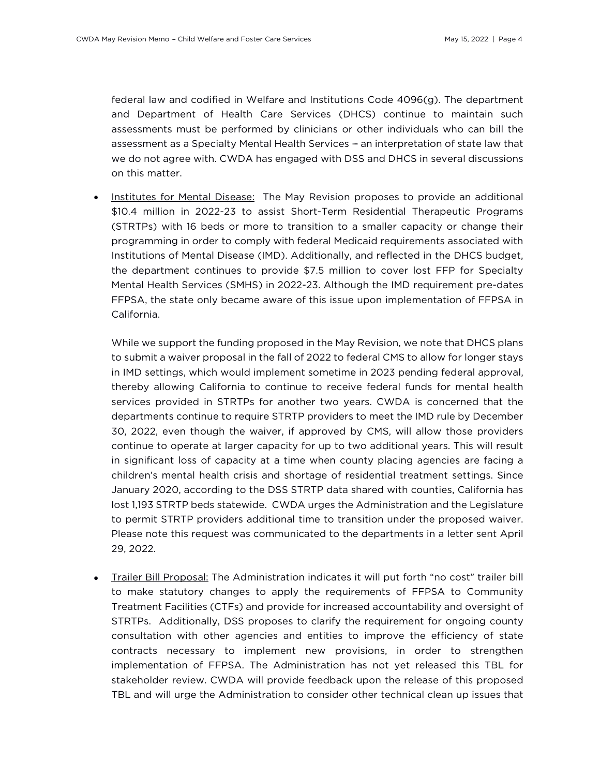federal law and codified in Welfare and Institutions Code 4096(g). The department and Department of Health Care Services (DHCS) continue to maintain such assessments must be performed by clinicians or other individuals who can bill the assessment as a Specialty Mental Health Services - an interpretation of state law that we do not agree with. CWDA has engaged with DSS and DHCS in several discussions on this matter.

Institutes for Mental Disease: The May Revision proposes to provide an additional \$10.4 million in 2022-23 to assist Short-Term Residential Therapeutic Programs (STRTPs) with 16 beds or more to transition to a smaller capacity or change their programming in order to comply with federal Medicaid requirements associated with Institutions of Mental Disease (IMD). Additionally, and reflected in the DHCS budget, the department continues to provide \$7.5 million to cover lost FFP for Specialty Mental Health Services (SMHS) in 2022-23. Although the IMD requirement pre-dates FFPSA, the state only became aware of this issue upon implementation of FFPSA in California.

While we support the funding proposed in the May Revision, we note that DHCS plans to submit a waiver proposal in the fall of 2022 to federal CMS to allow for longer stays in IMD settings, which would implement sometime in 2023 pending federal approval, thereby allowing California to continue to receive federal funds for mental health services provided in STRTPs for another two years. CWDA is concerned that the departments continue to require STRTP providers to meet the IMD rule by December 30, 2022, even though the waiver, if approved by CMS, will allow those providers continue to operate at larger capacity for up to two additional years. This will result in significant loss of capacity at a time when county placing agencies are facing a children's mental health crisis and shortage of residential treatment settings. Since January 2020, according to the DSS STRTP data shared with counties, California has lost 1,193 STRTP beds statewide. CWDA urges the Administration and the Legislature to permit STRTP providers additional time to transition under the proposed waiver. Please note this request was communicated to the departments in a letter sent April 29, 2022.

• Trailer Bill Proposal: The Administration indicates it will put forth ''no cost'' trailer bill to make statutory changes to apply the requirements of FFPSA to Community Treatment Facilities (CTFs) and provide for increased accountability and oversight of STRTPs. Additionally, DSS proposes to clarify the requirement for ongoing county consultation with other agencies and entities to improve the efficiency of state contracts necessary to implement new provisions, in order to strengthen implementation of FFPSA. The Administration has not yet released this TBL for stakeholder review. CWDA will provide feedback upon the release of this proposed TBL and will urge the Administration to consider other technical clean up issues that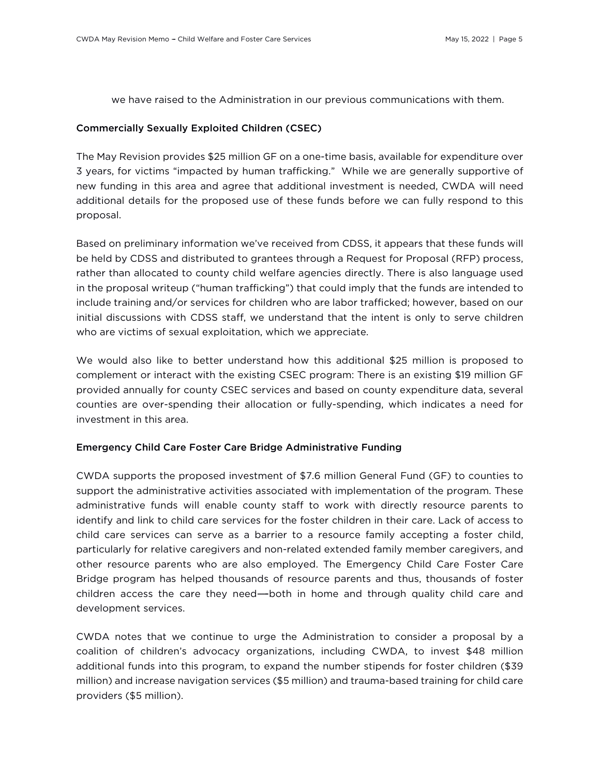we have raised to the Administration in our previous communications with them.

#### Commercially Sexually Exploited Children (CSEC)

The May Revision provides \$25 million GF on a one-time basis, available for expenditure over 3 years, for victims ''impacted by human trafficking.'' While we are generally supportive of new funding in this area and agree that additional investment is needed, CWDA will need additional details for the proposed use of these funds before we can fully respond to this proposal.

Based on preliminary information we've received from CDSS, it appears that these funds will be held by CDSS and distributed to grantees through a Request for Proposal (RFP) process, rather than allocated to county child welfare agencies directly. There is also language used in the proposal writeup (''human trafficking'') that could imply that the funds are intended to include training and/or services for children who are labor trafficked; however, based on our initial discussions with CDSS staff, we understand that the intent is only to serve children who are victims of sexual exploitation, which we appreciate.

We would also like to better understand how this additional \$25 million is proposed to complement or interact with the existing CSEC program: There is an existing \$19 million GF provided annually for county CSEC services and based on county expenditure data, several counties are over-spending their allocation or fully-spending, which indicates a need for investment in this area.

#### Emergency Child Care Foster Care Bridge Administrative Funding

CWDA supports the proposed investment of \$7.6 million General Fund (GF) to counties to support the administrative activities associated with implementation of the program. These administrative funds will enable county staff to work with directly resource parents to identify and link to child care services for the foster children in their care. Lack of access to child care services can serve as a barrier to a resource family accepting a foster child, particularly for relative caregivers and non-related extended family member caregivers, and other resource parents who are also employed. The Emergency Child Care Foster Care Bridge program has helped thousands of resource parents and thus, thousands of foster children access the care they need—both in home and through quality child care and development services.

CWDA notes that we continue to urge the Administration to consider a proposal by a coalition of children's advocacy organizations, including CWDA, to invest \$48 million additional funds into this program, to expand the number stipends for foster children (\$39 million) and increase navigation services (\$5 million) and trauma-based training for child care providers (\$5 million).